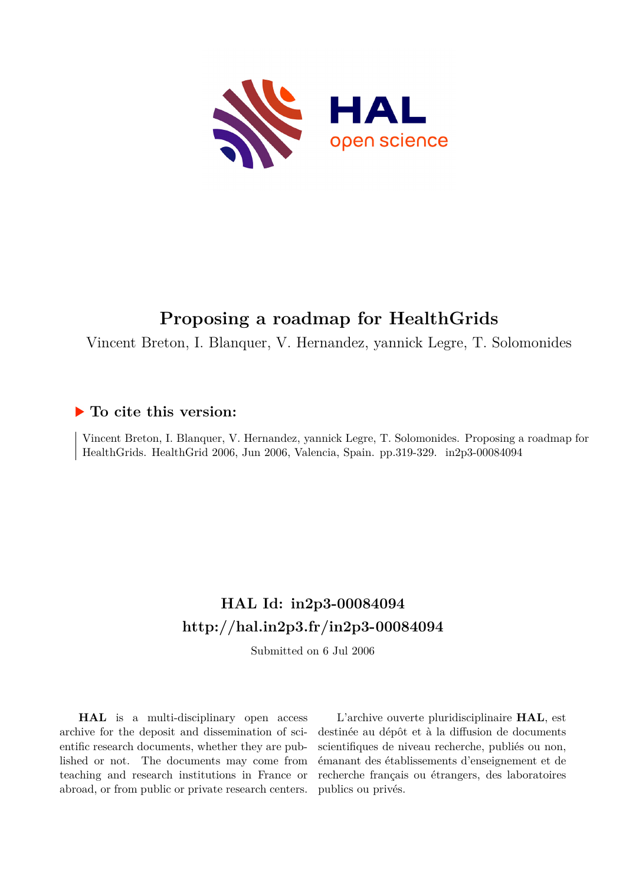

# **Proposing a roadmap for HealthGrids**

Vincent Breton, I. Blanquer, V. Hernandez, yannick Legre, T. Solomonides

# **To cite this version:**

Vincent Breton, I. Blanquer, V. Hernandez, yannick Legre, T. Solomonides. Proposing a roadmap for HealthGrids. HealthGrid 2006, Jun 2006, Valencia, Spain. pp.319-329. in2p3-00084094

# **HAL Id: in2p3-00084094 <http://hal.in2p3.fr/in2p3-00084094>**

Submitted on 6 Jul 2006

**HAL** is a multi-disciplinary open access archive for the deposit and dissemination of scientific research documents, whether they are published or not. The documents may come from teaching and research institutions in France or abroad, or from public or private research centers.

L'archive ouverte pluridisciplinaire **HAL**, est destinée au dépôt et à la diffusion de documents scientifiques de niveau recherche, publiés ou non, émanant des établissements d'enseignement et de recherche français ou étrangers, des laboratoires publics ou privés.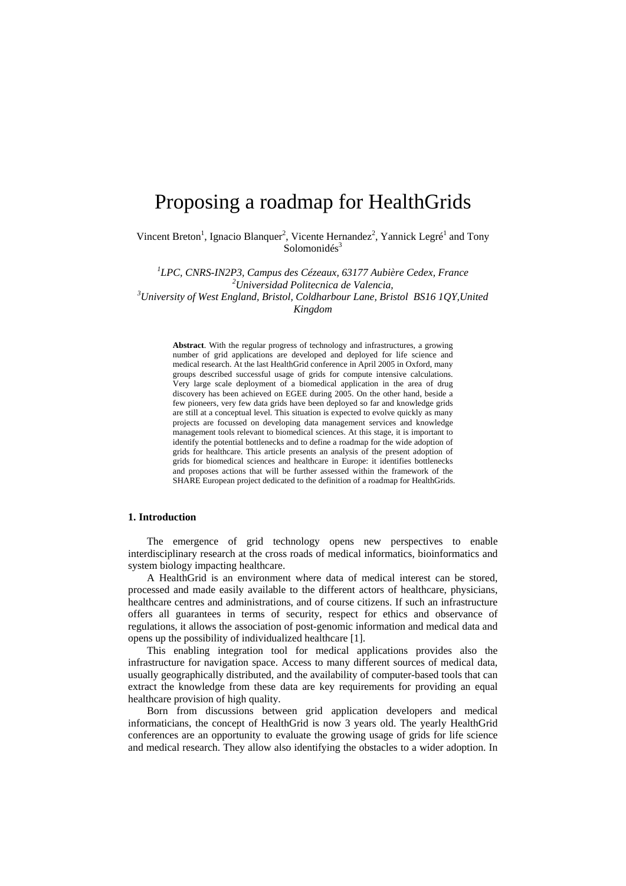# Proposing a roadmap for HealthGrids

Vincent Breton<sup>1</sup>, Ignacio Blanquer<sup>2</sup>, Vicente Hernandez<sup>2</sup>, Yannick Legré<sup>1</sup> and Tony  $Solomonidés<sup>3</sup>$ 

<sup>1</sup><br>
<sup>1</sup>LPC, CNRS-IN2P3, Campus des Cézeaux, 63177 Aubière Cedex, France *Universidad Politecnica de Valencia, 3 University of West England, Bristol, Coldharbour Lane, Bristol BS16 1QY,United Kingdom* 

**Abstract**. With the regular progress of technology and infrastructures, a growing number of grid applications are developed and deployed for life science and medical research. At the last HealthGrid conference in April 2005 in Oxford, many groups described successful usage of grids for compute intensive calculations. Very large scale deployment of a biomedical application in the area of drug discovery has been achieved on EGEE during 2005. On the other hand, beside a few pioneers, very few data grids have been deployed so far and knowledge grids are still at a conceptual level. This situation is expected to evolve quickly as many projects are focussed on developing data management services and knowledge management tools relevant to biomedical sciences. At this stage, it is important to identify the potential bottlenecks and to define a roadmap for the wide adoption of grids for healthcare. This article presents an analysis of the present adoption of grids for biomedical sciences and healthcare in Europe: it identifies bottlenecks and proposes actions that will be further assessed within the framework of the SHARE European project dedicated to the definition of a roadmap for HealthGrids.

### **1. Introduction**

The emergence of grid technology opens new perspectives to enable interdisciplinary research at the cross roads of medical informatics, bioinformatics and system biology impacting healthcare.

A HealthGrid is an environment where data of medical interest can be stored, processed and made easily available to the different actors of healthcare, physicians, healthcare centres and administrations, and of course citizens. If such an infrastructure offers all guarantees in terms of security, respect for ethics and observance of regulations, it allows the association of post-genomic information and medical data and opens up the possibility of individualized healthcare [1].

This enabling integration tool for medical applications provides also the infrastructure for navigation space. Access to many different sources of medical data, usually geographically distributed, and the availability of computer-based tools that can extract the knowledge from these data are key requirements for providing an equal healthcare provision of high quality.

Born from discussions between grid application developers and medical informaticians, the concept of HealthGrid is now 3 years old. The yearly HealthGrid conferences are an opportunity to evaluate the growing usage of grids for life science and medical research. They allow also identifying the obstacles to a wider adoption. In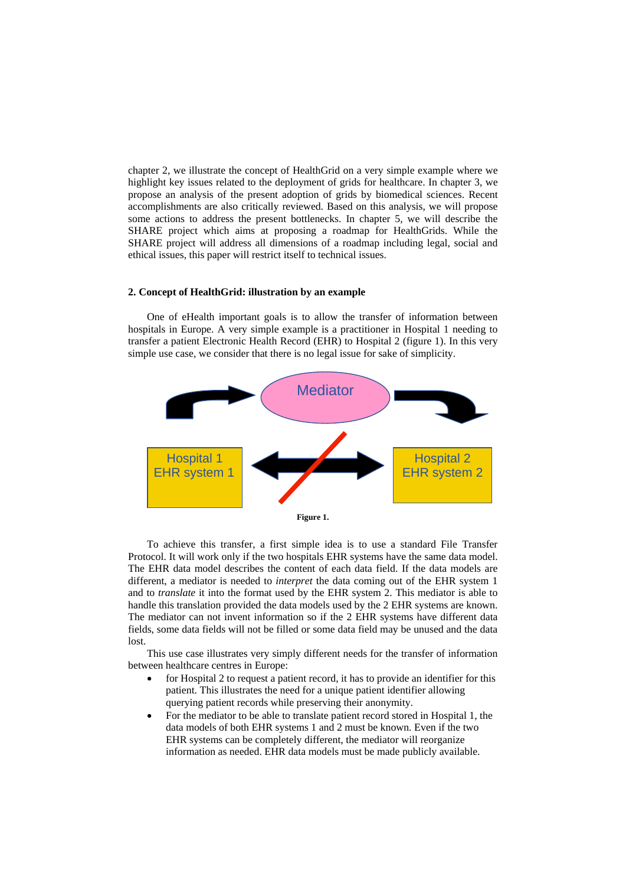chapter 2, we illustrate the concept of HealthGrid on a very simple example where we highlight key issues related to the deployment of grids for healthcare. In chapter 3, we propose an analysis of the present adoption of grids by biomedical sciences. Recent accomplishments are also critically reviewed. Based on this analysis, we will propose some actions to address the present bottlenecks. In chapter 5, we will describe the SHARE project which aims at proposing a roadmap for HealthGrids. While the SHARE project will address all dimensions of a roadmap including legal, social and ethical issues, this paper will restrict itself to technical issues.

# **2. Concept of HealthGrid: illustration by an example**

One of eHealth important goals is to allow the transfer of information between hospitals in Europe. A very simple example is a practitioner in Hospital 1 needing to transfer a patient Electronic Health Record (EHR) to Hospital 2 (figure 1). In this very simple use case, we consider that there is no legal issue for sake of simplicity.



To achieve this transfer, a first simple idea is to use a standard File Transfer Protocol. It will work only if the two hospitals EHR systems have the same data model. The EHR data model describes the content of each data field. If the data models are different, a mediator is needed to *interpret* the data coming out of the EHR system 1 and to *translate* it into the format used by the EHR system 2. This mediator is able to handle this translation provided the data models used by the 2 EHR systems are known. The mediator can not invent information so if the 2 EHR systems have different data fields, some data fields will not be filled or some data field may be unused and the data lost.

This use case illustrates very simply different needs for the transfer of information between healthcare centres in Europe:

- for Hospital 2 to request a patient record, it has to provide an identifier for this patient. This illustrates the need for a unique patient identifier allowing querying patient records while preserving their anonymity.
- For the mediator to be able to translate patient record stored in Hospital 1, the data models of both EHR systems 1 and 2 must be known. Even if the two EHR systems can be completely different, the mediator will reorganize information as needed. EHR data models must be made publicly available.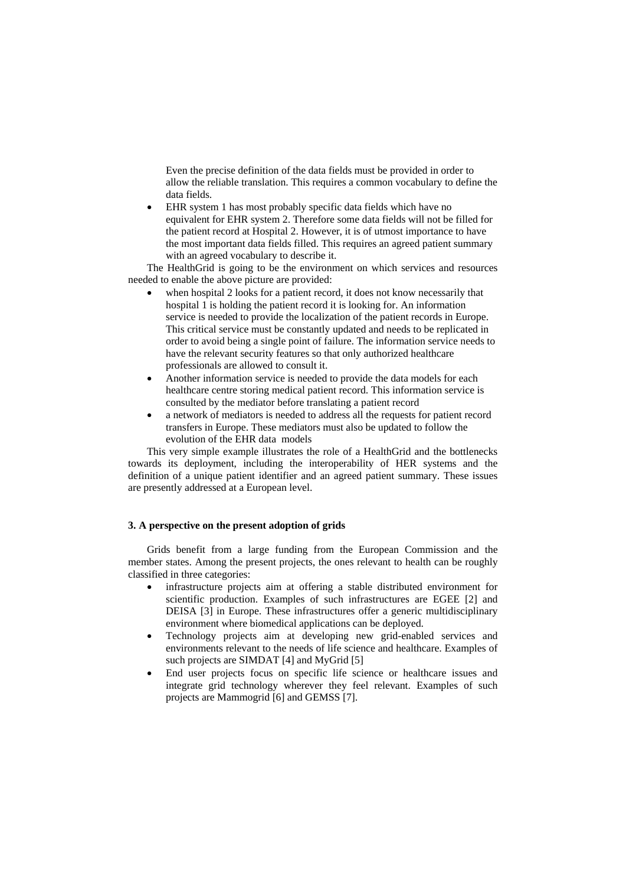Even the precise definition of the data fields must be provided in order to allow the reliable translation. This requires a common vocabulary to define the data fields.

EHR system 1 has most probably specific data fields which have no equivalent for EHR system 2. Therefore some data fields will not be filled for the patient record at Hospital 2. However, it is of utmost importance to have the most important data fields filled. This requires an agreed patient summary with an agreed vocabulary to describe it.

The HealthGrid is going to be the environment on which services and resources needed to enable the above picture are provided:

- when hospital 2 looks for a patient record, it does not know necessarily that hospital 1 is holding the patient record it is looking for. An information service is needed to provide the localization of the patient records in Europe. This critical service must be constantly updated and needs to be replicated in order to avoid being a single point of failure. The information service needs to have the relevant security features so that only authorized healthcare professionals are allowed to consult it.
- Another information service is needed to provide the data models for each healthcare centre storing medical patient record. This information service is consulted by the mediator before translating a patient record
- a network of mediators is needed to address all the requests for patient record transfers in Europe. These mediators must also be updated to follow the evolution of the EHR data models

This very simple example illustrates the role of a HealthGrid and the bottlenecks towards its deployment, including the interoperability of HER systems and the definition of a unique patient identifier and an agreed patient summary. These issues are presently addressed at a European level.

# **3. A perspective on the present adoption of grids**

Grids benefit from a large funding from the European Commission and the member states. Among the present projects, the ones relevant to health can be roughly classified in three categories:

- infrastructure projects aim at offering a stable distributed environment for scientific production. Examples of such infrastructures are EGEE [2] and DEISA [3] in Europe. These infrastructures offer a generic multidisciplinary environment where biomedical applications can be deployed.
- Technology projects aim at developing new grid-enabled services and environments relevant to the needs of life science and healthcare. Examples of such projects are SIMDAT [4] and MyGrid [5]
- End user projects focus on specific life science or healthcare issues and integrate grid technology wherever they feel relevant. Examples of such projects are Mammogrid [6] and GEMSS [7].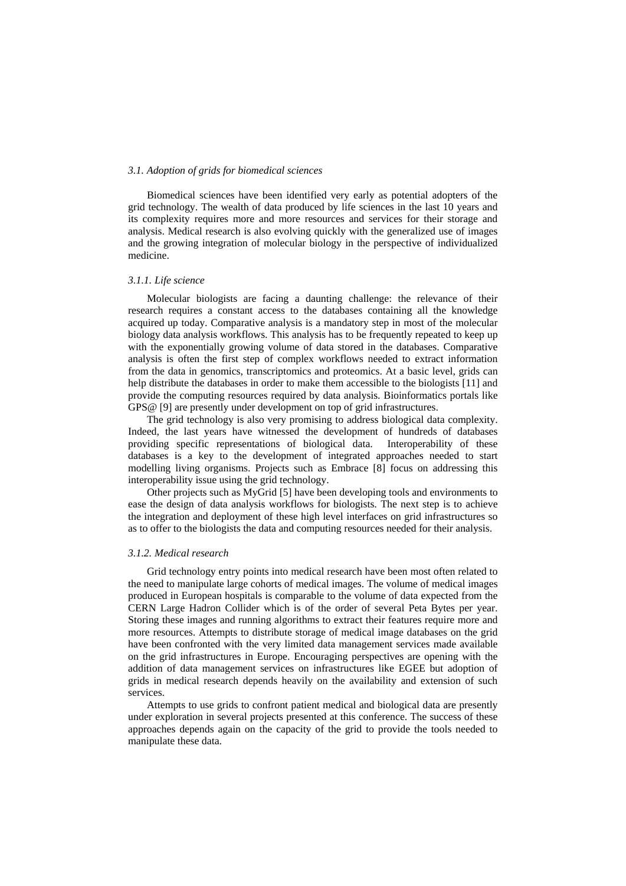## *3.1. Adoption of grids for biomedical sciences*

Biomedical sciences have been identified very early as potential adopters of the grid technology. The wealth of data produced by life sciences in the last 10 years and its complexity requires more and more resources and services for their storage and analysis. Medical research is also evolving quickly with the generalized use of images and the growing integration of molecular biology in the perspective of individualized medicine.

### *3.1.1. Life science*

Molecular biologists are facing a daunting challenge: the relevance of their research requires a constant access to the databases containing all the knowledge acquired up today. Comparative analysis is a mandatory step in most of the molecular biology data analysis workflows. This analysis has to be frequently repeated to keep up with the exponentially growing volume of data stored in the databases. Comparative analysis is often the first step of complex workflows needed to extract information from the data in genomics, transcriptomics and proteomics. At a basic level, grids can help distribute the databases in order to make them accessible to the biologists [11] and provide the computing resources required by data analysis. Bioinformatics portals like GPS@ [9] are presently under development on top of grid infrastructures.

The grid technology is also very promising to address biological data complexity. Indeed, the last years have witnessed the development of hundreds of databases providing specific representations of biological data. Interoperability of these databases is a key to the development of integrated approaches needed to start modelling living organisms. Projects such as Embrace [8] focus on addressing this interoperability issue using the grid technology.

Other projects such as MyGrid [5] have been developing tools and environments to ease the design of data analysis workflows for biologists. The next step is to achieve the integration and deployment of these high level interfaces on grid infrastructures so as to offer to the biologists the data and computing resources needed for their analysis.

#### *3.1.2. Medical research*

Grid technology entry points into medical research have been most often related to the need to manipulate large cohorts of medical images. The volume of medical images produced in European hospitals is comparable to the volume of data expected from the CERN Large Hadron Collider which is of the order of several Peta Bytes per year. Storing these images and running algorithms to extract their features require more and more resources. Attempts to distribute storage of medical image databases on the grid have been confronted with the very limited data management services made available on the grid infrastructures in Europe. Encouraging perspectives are opening with the addition of data management services on infrastructures like EGEE but adoption of grids in medical research depends heavily on the availability and extension of such services.

Attempts to use grids to confront patient medical and biological data are presently under exploration in several projects presented at this conference. The success of these approaches depends again on the capacity of the grid to provide the tools needed to manipulate these data.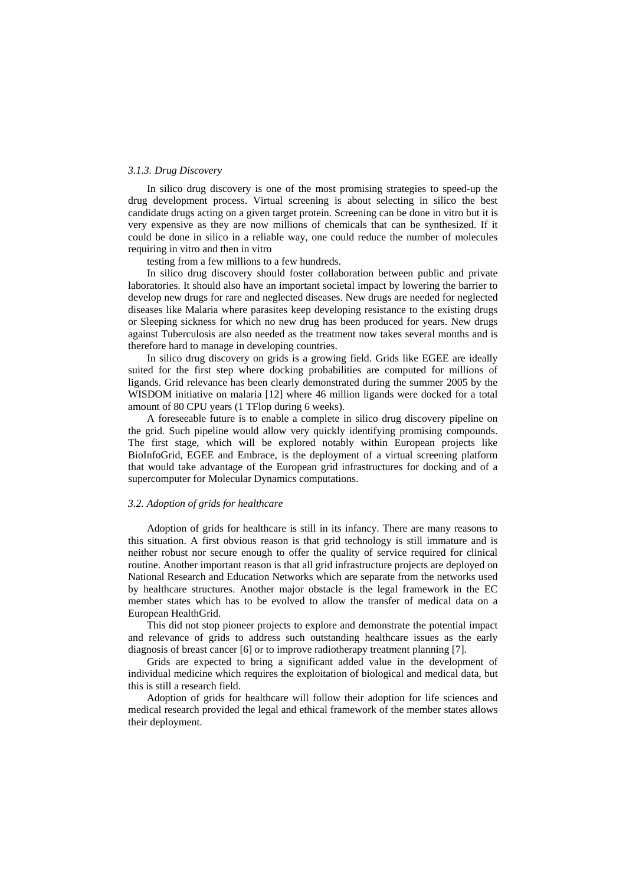## *3.1.3. Drug Discovery*

In silico drug discovery is one of the most promising strategies to speed-up the drug development process. Virtual screening is about selecting in silico the best candidate drugs acting on a given target protein. Screening can be done in vitro but it is very expensive as they are now millions of chemicals that can be synthesized. If it could be done in silico in a reliable way, one could reduce the number of molecules requiring in vitro and then in vitro

testing from a few millions to a few hundreds.

In silico drug discovery should foster collaboration between public and private laboratories. It should also have an important societal impact by lowering the barrier to develop new drugs for rare and neglected diseases. New drugs are needed for neglected diseases like Malaria where parasites keep developing resistance to the existing drugs or Sleeping sickness for which no new drug has been produced for years. New drugs against Tuberculosis are also needed as the treatment now takes several months and is therefore hard to manage in developing countries.

In silico drug discovery on grids is a growing field. Grids like EGEE are ideally suited for the first step where docking probabilities are computed for millions of ligands. Grid relevance has been clearly demonstrated during the summer 2005 by the WISDOM initiative on malaria [12] where 46 million ligands were docked for a total amount of 80 CPU years (1 TFlop during 6 weeks).

A foreseeable future is to enable a complete in silico drug discovery pipeline on the grid. Such pipeline would allow very quickly identifying promising compounds. The first stage, which will be explored notably within European projects like BioInfoGrid, EGEE and Embrace, is the deployment of a virtual screening platform that would take advantage of the European grid infrastructures for docking and of a supercomputer for Molecular Dynamics computations.

### *3.2. Adoption of grids for healthcare*

Adoption of grids for healthcare is still in its infancy. There are many reasons to this situation. A first obvious reason is that grid technology is still immature and is neither robust nor secure enough to offer the quality of service required for clinical routine. Another important reason is that all grid infrastructure projects are deployed on National Research and Education Networks which are separate from the networks used by healthcare structures. Another major obstacle is the legal framework in the EC member states which has to be evolved to allow the transfer of medical data on a European HealthGrid.

This did not stop pioneer projects to explore and demonstrate the potential impact and relevance of grids to address such outstanding healthcare issues as the early diagnosis of breast cancer [6] or to improve radiotherapy treatment planning [7].

Grids are expected to bring a significant added value in the development of individual medicine which requires the exploitation of biological and medical data, but this is still a research field.

Adoption of grids for healthcare will follow their adoption for life sciences and medical research provided the legal and ethical framework of the member states allows their deployment.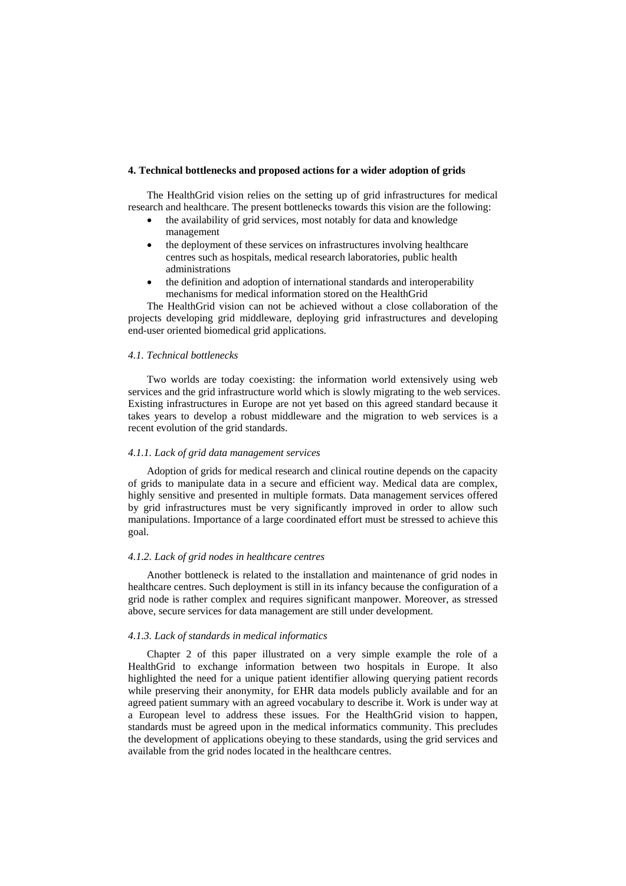#### **4. Technical bottlenecks and proposed actions for a wider adoption of grids**

The HealthGrid vision relies on the setting up of grid infrastructures for medical research and healthcare. The present bottlenecks towards this vision are the following:

- the availability of grid services, most notably for data and knowledge management
- the deployment of these services on infrastructures involving healthcare centres such as hospitals, medical research laboratories, public health administrations
- the definition and adoption of international standards and interoperability mechanisms for medical information stored on the HealthGrid

The HealthGrid vision can not be achieved without a close collaboration of the projects developing grid middleware, deploying grid infrastructures and developing end-user oriented biomedical grid applications.

# *4.1. Technical bottlenecks*

Two worlds are today coexisting: the information world extensively using web services and the grid infrastructure world which is slowly migrating to the web services. Existing infrastructures in Europe are not yet based on this agreed standard because it takes years to develop a robust middleware and the migration to web services is a recent evolution of the grid standards.

#### *4.1.1. Lack of grid data management services*

Adoption of grids for medical research and clinical routine depends on the capacity of grids to manipulate data in a secure and efficient way. Medical data are complex, highly sensitive and presented in multiple formats. Data management services offered by grid infrastructures must be very significantly improved in order to allow such manipulations. Importance of a large coordinated effort must be stressed to achieve this goal.

#### *4.1.2. Lack of grid nodes in healthcare centres*

Another bottleneck is related to the installation and maintenance of grid nodes in healthcare centres. Such deployment is still in its infancy because the configuration of a grid node is rather complex and requires significant manpower. Moreover, as stressed above, secure services for data management are still under development.

#### *4.1.3. Lack of standards in medical informatics*

Chapter 2 of this paper illustrated on a very simple example the role of a HealthGrid to exchange information between two hospitals in Europe. It also highlighted the need for a unique patient identifier allowing querying patient records while preserving their anonymity, for EHR data models publicly available and for an agreed patient summary with an agreed vocabulary to describe it. Work is under way at a European level to address these issues. For the HealthGrid vision to happen, standards must be agreed upon in the medical informatics community. This precludes the development of applications obeying to these standards, using the grid services and available from the grid nodes located in the healthcare centres.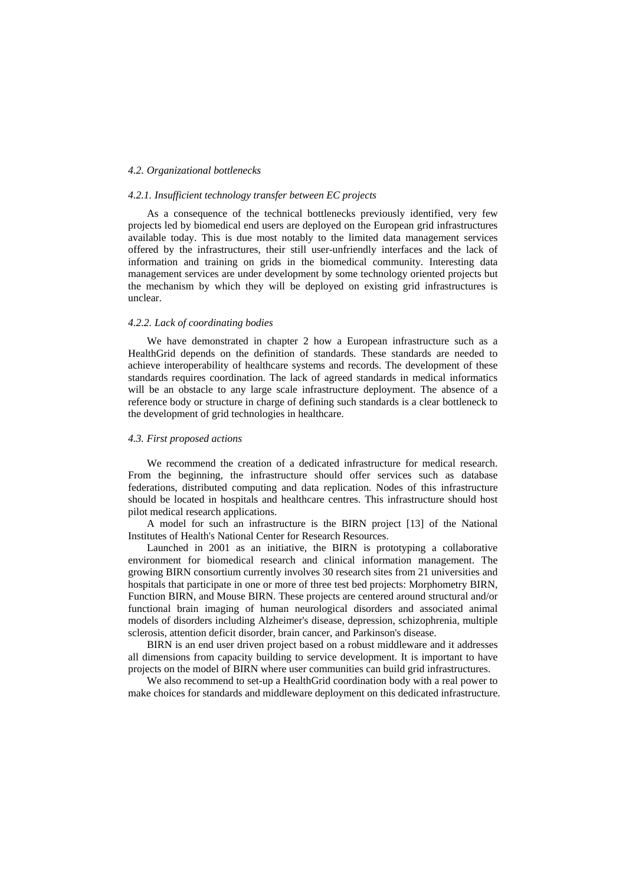#### *4.2. Organizational bottlenecks*

#### *4.2.1. Insufficient technology transfer between EC projects*

As a consequence of the technical bottlenecks previously identified, very few projects led by biomedical end users are deployed on the European grid infrastructures available today. This is due most notably to the limited data management services offered by the infrastructures, their still user-unfriendly interfaces and the lack of information and training on grids in the biomedical community. Interesting data management services are under development by some technology oriented projects but the mechanism by which they will be deployed on existing grid infrastructures is unclear.

#### *4.2.2. Lack of coordinating bodies*

We have demonstrated in chapter 2 how a European infrastructure such as a HealthGrid depends on the definition of standards. These standards are needed to achieve interoperability of healthcare systems and records. The development of these standards requires coordination. The lack of agreed standards in medical informatics will be an obstacle to any large scale infrastructure deployment. The absence of a reference body or structure in charge of defining such standards is a clear bottleneck to the development of grid technologies in healthcare.

## *4.3. First proposed actions*

We recommend the creation of a dedicated infrastructure for medical research. From the beginning, the infrastructure should offer services such as database federations, distributed computing and data replication. Nodes of this infrastructure should be located in hospitals and healthcare centres. This infrastructure should host pilot medical research applications.

A model for such an infrastructure is the BIRN project [13] of the National Institutes of Health's National Center for Research Resources.

Launched in 2001 as an initiative, the BIRN is prototyping a collaborative environment for biomedical research and clinical information management. The growing BIRN consortium currently involves 30 research sites from 21 universities and hospitals that participate in one or more of three test bed projects: Morphometry BIRN, Function BIRN, and Mouse BIRN. These projects are centered around structural and/or functional brain imaging of human neurological disorders and associated animal models of disorders including Alzheimer's disease, depression, schizophrenia, multiple sclerosis, attention deficit disorder, brain cancer, and Parkinson's disease.

BIRN is an end user driven project based on a robust middleware and it addresses all dimensions from capacity building to service development. It is important to have projects on the model of BIRN where user communities can build grid infrastructures.

We also recommend to set-up a HealthGrid coordination body with a real power to make choices for standards and middleware deployment on this dedicated infrastructure.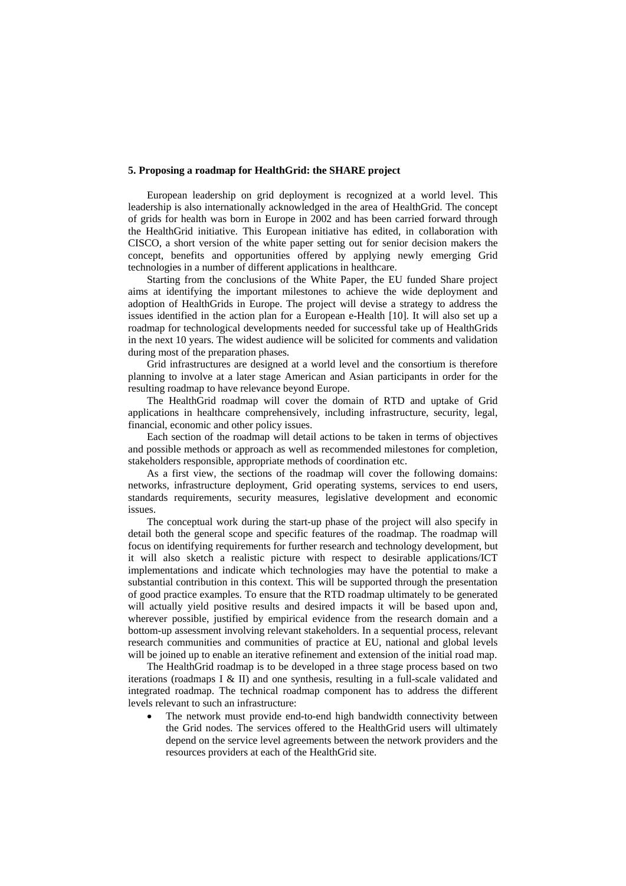#### **5. Proposing a roadmap for HealthGrid: the SHARE project**

European leadership on grid deployment is recognized at a world level. This leadership is also internationally acknowledged in the area of HealthGrid. The concept of grids for health was born in Europe in 2002 and has been carried forward through the HealthGrid initiative. This European initiative has edited, in collaboration with CISCO, a short version of the white paper setting out for senior decision makers the concept, benefits and opportunities offered by applying newly emerging Grid technologies in a number of different applications in healthcare.

Starting from the conclusions of the White Paper, the EU funded Share project aims at identifying the important milestones to achieve the wide deployment and adoption of HealthGrids in Europe. The project will devise a strategy to address the issues identified in the action plan for a European e-Health [10]. It will also set up a roadmap for technological developments needed for successful take up of HealthGrids in the next 10 years. The widest audience will be solicited for comments and validation during most of the preparation phases.

Grid infrastructures are designed at a world level and the consortium is therefore planning to involve at a later stage American and Asian participants in order for the resulting roadmap to have relevance beyond Europe.

The HealthGrid roadmap will cover the domain of RTD and uptake of Grid applications in healthcare comprehensively, including infrastructure, security, legal, financial, economic and other policy issues.

Each section of the roadmap will detail actions to be taken in terms of objectives and possible methods or approach as well as recommended milestones for completion, stakeholders responsible, appropriate methods of coordination etc.

As a first view, the sections of the roadmap will cover the following domains: networks, infrastructure deployment, Grid operating systems, services to end users, standards requirements, security measures, legislative development and economic issues.

The conceptual work during the start-up phase of the project will also specify in detail both the general scope and specific features of the roadmap. The roadmap will focus on identifying requirements for further research and technology development, but it will also sketch a realistic picture with respect to desirable applications/ICT implementations and indicate which technologies may have the potential to make a substantial contribution in this context. This will be supported through the presentation of good practice examples. To ensure that the RTD roadmap ultimately to be generated will actually yield positive results and desired impacts it will be based upon and, wherever possible, justified by empirical evidence from the research domain and a bottom-up assessment involving relevant stakeholders. In a sequential process, relevant research communities and communities of practice at EU, national and global levels will be joined up to enable an iterative refinement and extension of the initial road map.

The HealthGrid roadmap is to be developed in a three stage process based on two iterations (roadmaps I & II) and one synthesis, resulting in a full-scale validated and integrated roadmap. The technical roadmap component has to address the different levels relevant to such an infrastructure:

The network must provide end-to-end high bandwidth connectivity between the Grid nodes. The services offered to the HealthGrid users will ultimately depend on the service level agreements between the network providers and the resources providers at each of the HealthGrid site.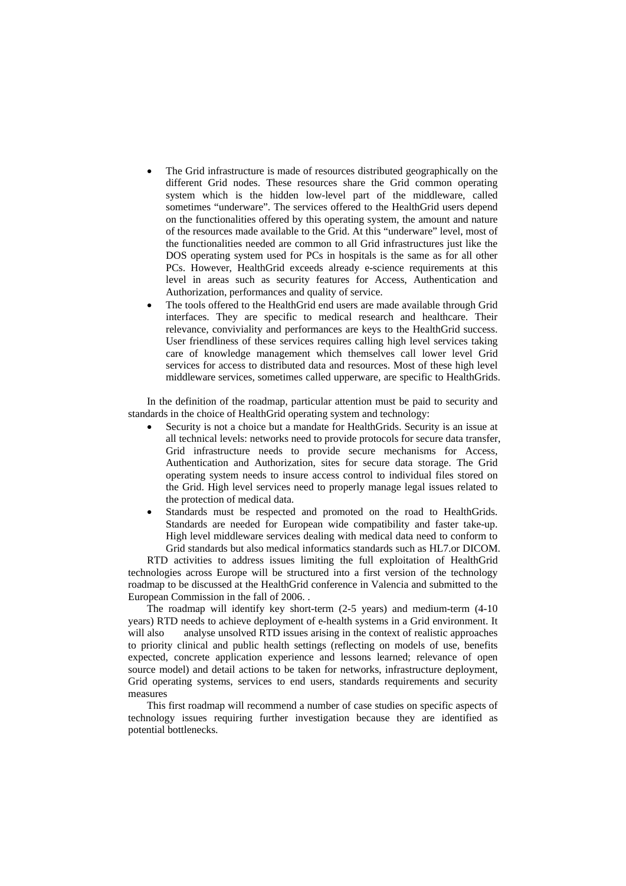- The Grid infrastructure is made of resources distributed geographically on the different Grid nodes. These resources share the Grid common operating system which is the hidden low-level part of the middleware, called sometimes "underware". The services offered to the HealthGrid users depend on the functionalities offered by this operating system, the amount and nature of the resources made available to the Grid. At this "underware" level, most of the functionalities needed are common to all Grid infrastructures just like the DOS operating system used for PCs in hospitals is the same as for all other PCs. However, HealthGrid exceeds already e-science requirements at this level in areas such as security features for Access, Authentication and Authorization, performances and quality of service.
- The tools offered to the HealthGrid end users are made available through Grid interfaces. They are specific to medical research and healthcare. Their relevance, conviviality and performances are keys to the HealthGrid success. User friendliness of these services requires calling high level services taking care of knowledge management which themselves call lower level Grid services for access to distributed data and resources. Most of these high level middleware services, sometimes called upperware, are specific to HealthGrids.

In the definition of the roadmap, particular attention must be paid to security and standards in the choice of HealthGrid operating system and technology:

- Security is not a choice but a mandate for HealthGrids. Security is an issue at all technical levels: networks need to provide protocols for secure data transfer, Grid infrastructure needs to provide secure mechanisms for Access, Authentication and Authorization, sites for secure data storage. The Grid operating system needs to insure access control to individual files stored on the Grid. High level services need to properly manage legal issues related to the protection of medical data.
- Standards must be respected and promoted on the road to HealthGrids. Standards are needed for European wide compatibility and faster take-up. High level middleware services dealing with medical data need to conform to Grid standards but also medical informatics standards such as HL7.or DICOM.

RTD activities to address issues limiting the full exploitation of HealthGrid technologies across Europe will be structured into a first version of the technology roadmap to be discussed at the HealthGrid conference in Valencia and submitted to the European Commission in the fall of 2006. .

The roadmap will identify key short-term (2-5 years) and medium-term (4-10 years) RTD needs to achieve deployment of e-health systems in a Grid environment. It will also analyse unsolved RTD issues arising in the context of realistic approaches to priority clinical and public health settings (reflecting on models of use, benefits expected, concrete application experience and lessons learned; relevance of open source model) and detail actions to be taken for networks, infrastructure deployment, Grid operating systems, services to end users, standards requirements and security measures

This first roadmap will recommend a number of case studies on specific aspects of technology issues requiring further investigation because they are identified as potential bottlenecks.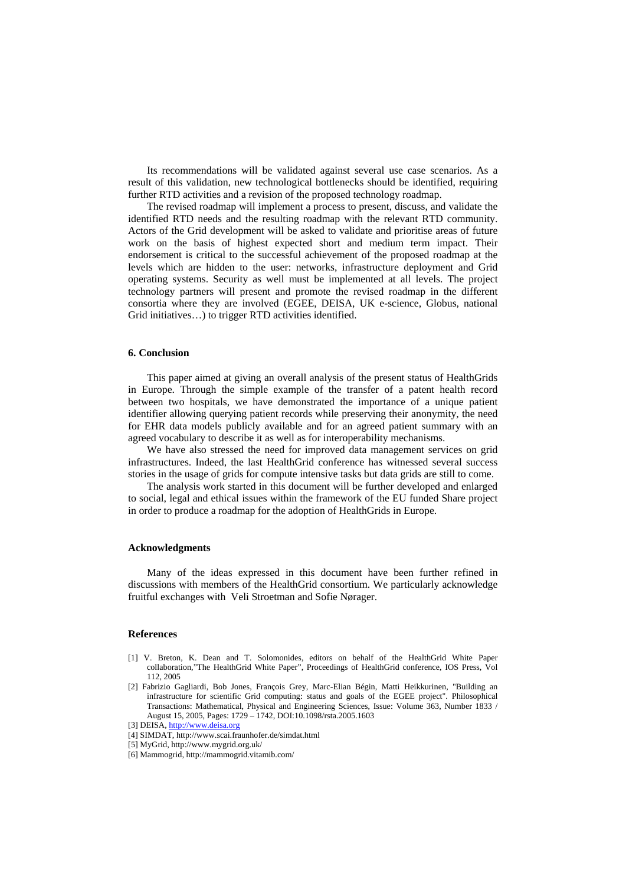Its recommendations will be validated against several use case scenarios. As a result of this validation, new technological bottlenecks should be identified, requiring further RTD activities and a revision of the proposed technology roadmap.

The revised roadmap will implement a process to present, discuss, and validate the identified RTD needs and the resulting roadmap with the relevant RTD community. Actors of the Grid development will be asked to validate and prioritise areas of future work on the basis of highest expected short and medium term impact. Their endorsement is critical to the successful achievement of the proposed roadmap at the levels which are hidden to the user: networks, infrastructure deployment and Grid operating systems. Security as well must be implemented at all levels. The project technology partners will present and promote the revised roadmap in the different consortia where they are involved (EGEE, DEISA, UK e-science, Globus, national Grid initiatives…) to trigger RTD activities identified.

#### **6. Conclusion**

This paper aimed at giving an overall analysis of the present status of HealthGrids in Europe. Through the simple example of the transfer of a patent health record between two hospitals, we have demonstrated the importance of a unique patient identifier allowing querying patient records while preserving their anonymity, the need for EHR data models publicly available and for an agreed patient summary with an agreed vocabulary to describe it as well as for interoperability mechanisms.

We have also stressed the need for improved data management services on grid infrastructures. Indeed, the last HealthGrid conference has witnessed several success stories in the usage of grids for compute intensive tasks but data grids are still to come.

The analysis work started in this document will be further developed and enlarged to social, legal and ethical issues within the framework of the EU funded Share project in order to produce a roadmap for the adoption of HealthGrids in Europe.

#### **Acknowledgments**

Many of the ideas expressed in this document have been further refined in discussions with members of the HealthGrid consortium. We particularly acknowledge fruitful exchanges with Veli Stroetman and Sofie Nørager.

#### **References**

- [1] V. Breton, K. Dean and T. Solomonides, editors on behalf of the HealthGrid White Paper collaboration,"The HealthGrid White Paper", Proceedings of HealthGrid conference, IOS Press, Vol 112, 2005
- [2] Fabrizio Gagliardi, Bob Jones, François Grey, Marc-Elian Bégin, Matti Heikkurinen, "Building an infrastructure for scientific Grid computing: status and goals of the EGEE project". Philosophical Transactions: Mathematical, Physical and Engineering Sciences, Issue: Volume 363, Number 1833 / August 15, 2005, Pages: 1729 – 1742, DOI:10.1098/rsta.2005.1603

- [4] SIMDAT, http://www.scai.fraunhofer.de/simdat.html
- [5] MyGrid, http://www.mygrid.org.uk/
- [6] Mammogrid, http://mammogrid.vitamib.com/

<sup>[3]</sup> DEISA, http://www.deisa.org